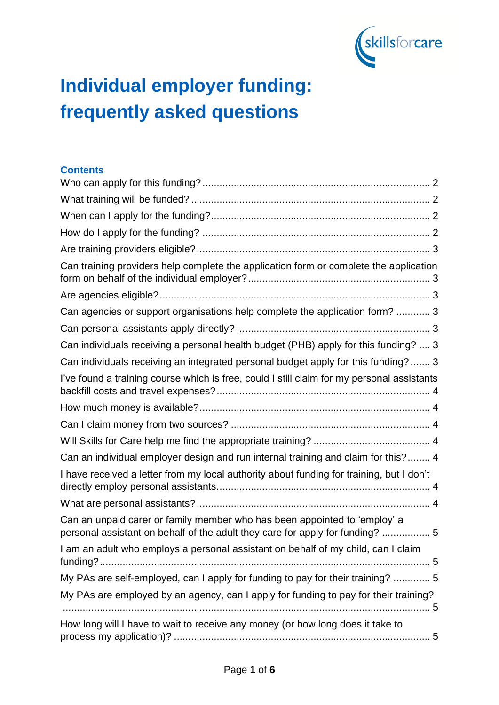

# **Individual employer funding: frequently asked questions**

#### **Contents**

| Can training providers help complete the application form or complete the application                                                                      |
|------------------------------------------------------------------------------------------------------------------------------------------------------------|
|                                                                                                                                                            |
| Can agencies or support organisations help complete the application form?  3                                                                               |
|                                                                                                                                                            |
| Can individuals receiving a personal health budget (PHB) apply for this funding?  3                                                                        |
| Can individuals receiving an integrated personal budget apply for this funding? 3                                                                          |
| I've found a training course which is free, could I still claim for my personal assistants                                                                 |
|                                                                                                                                                            |
|                                                                                                                                                            |
|                                                                                                                                                            |
| Can an individual employer design and run internal training and claim for this? 4                                                                          |
| I have received a letter from my local authority about funding for training, but I don't                                                                   |
|                                                                                                                                                            |
| Can an unpaid carer or family member who has been appointed to 'employ' a<br>personal assistant on behalf of the adult they care for apply for funding?  5 |
| I am an adult who employs a personal assistant on behalf of my child, can I claim                                                                          |
| My PAs are self-employed, can I apply for funding to pay for their training?  5                                                                            |
| My PAs are employed by an agency, can I apply for funding to pay for their training?                                                                       |
| How long will I have to wait to receive any money (or how long does it take to                                                                             |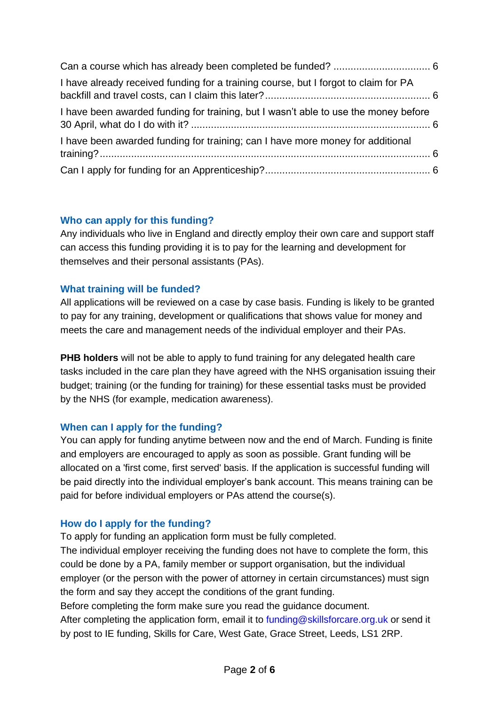| I have already received funding for a training course, but I forgot to claim for PA |  |
|-------------------------------------------------------------------------------------|--|
| I have been awarded funding for training, but I wasn't able to use the money before |  |
| I have been awarded funding for training; can I have more money for additional      |  |
|                                                                                     |  |

## **Who can apply for this funding?**

Any individuals who live in England and directly employ their own care and support staff can access this funding providing it is to pay for the learning and development for themselves and their personal assistants (PAs).

# **What training will be funded?**

All applications will be reviewed on a case by case basis. Funding is likely to be granted to pay for any training, development or qualifications that shows value for money and meets the care and management needs of the individual employer and their PAs.

**PHB holders** will not be able to apply to fund training for any delegated health care tasks included in the care plan they have agreed with the NHS organisation issuing their budget; training (or the funding for training) for these essential tasks must be provided by the NHS (for example, medication awareness).

## **When can I apply for the funding?**

You can apply for funding anytime between now and the end of March. Funding is finite and employers are encouraged to apply as soon as possible. Grant funding will be allocated on a 'first come, first served' basis. If the application is successful funding will be paid directly into the individual employer's bank account. This means training can be paid for before individual employers or PAs attend the course(s).

# **How do I apply for the funding?**

To apply for funding an application form must be fully completed.

The individual employer receiving the funding does not have to complete the form, this could be done by a PA, family member or support organisation, but the individual employer (or the person with the power of attorney in certain circumstances) must sign the form and say they accept the conditions of the grant funding.

Before completing the form make sure you read the guidance document.

After completing the application form, email it to funding@skillsforcare.org.uk or send it by post to IE funding, Skills for Care, West Gate, Grace Street, Leeds, LS1 2RP.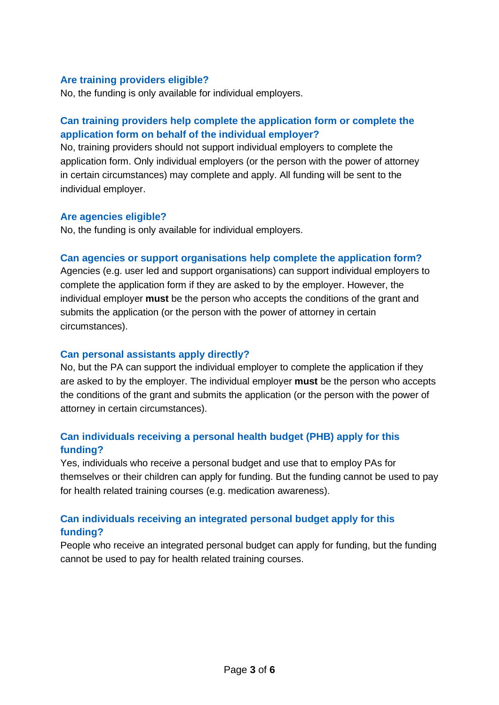#### **Are training providers eligible?**

No, the funding is only available for individual employers.

# **Can training providers help complete the application form or complete the application form on behalf of the individual employer?**

No, training providers should not support individual employers to complete the application form. Only individual employers (or the person with the power of attorney in certain circumstances) may complete and apply. All funding will be sent to the individual employer.

#### **Are agencies eligible?**

No, the funding is only available for individual employers.

#### **Can agencies or support organisations help complete the application form?**

Agencies (e.g. user led and support organisations) can support individual employers to complete the application form if they are asked to by the employer. However, the individual employer **must** be the person who accepts the conditions of the grant and submits the application (or the person with the power of attorney in certain circumstances).

#### **Can personal assistants apply directly?**

No, but the PA can support the individual employer to complete the application if they are asked to by the employer. The individual employer **must** be the person who accepts the conditions of the grant and submits the application (or the person with the power of attorney in certain circumstances).

# **Can individuals receiving a personal health budget (PHB) apply for this funding?**

Yes, individuals who receive a personal budget and use that to employ PAs for themselves or their children can apply for funding. But the funding cannot be used to pay for health related training courses (e.g. medication awareness).

# **Can individuals receiving an integrated personal budget apply for this funding?**

People who receive an integrated personal budget can apply for funding, but the funding cannot be used to pay for health related training courses.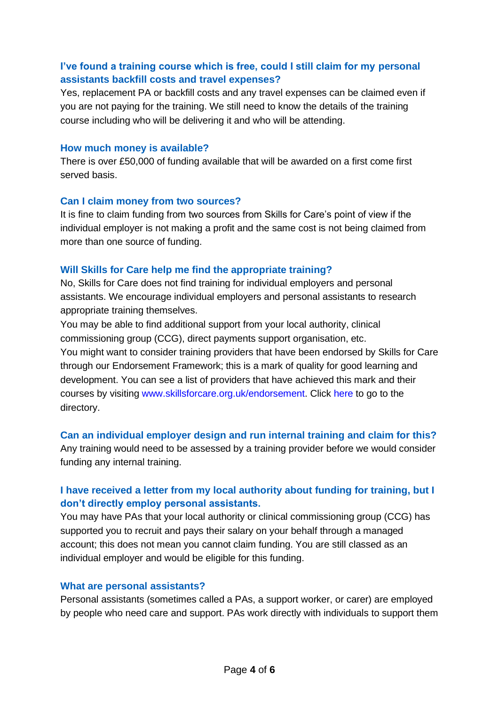## **I've found a training course which is free, could I still claim for my personal assistants backfill costs and travel expenses?**

Yes, replacement PA or backfill costs and any travel expenses can be claimed even if you are not paying for the training. We still need to know the details of the training course including who will be delivering it and who will be attending.

#### **How much money is available?**

There is over £50,000 of funding available that will be awarded on a first come first served basis.

#### **Can I claim money from two sources?**

It is fine to claim funding from two sources from Skills for Care's point of view if the individual employer is not making a profit and the same cost is not being claimed from more than one source of funding.

## **Will Skills for Care help me find the appropriate training?**

No, Skills for Care does not find training for individual employers and personal assistants. We encourage individual employers and personal assistants to research appropriate training themselves.

You may be able to find additional support from your local authority, clinical commissioning group (CCG), direct payments support organisation, etc.

You might want to consider training providers that have been endorsed by Skills for Care through our Endorsement Framework; this is a mark of quality for good learning and development. You can see a list of providers that have achieved this mark and their courses by visiting www.skillsforcare.org.uk/endorsement. Click here to go to the directory.

## **Can an individual employer design and run internal training and claim for this?**

Any training would need to be assessed by a training provider before we would consider funding any internal training.

# **I have received a letter from my local authority about funding for training, but I don't directly employ personal assistants.**

You may have PAs that your local authority or clinical commissioning group (CCG) has supported you to recruit and pays their salary on your behalf through a managed account; this does not mean you cannot claim funding. You are still classed as an individual employer and would be eligible for this funding.

#### **What are personal assistants?**

Personal assistants (sometimes called a PAs, a support worker, or carer) are employed by people who need care and support. PAs work directly with individuals to support them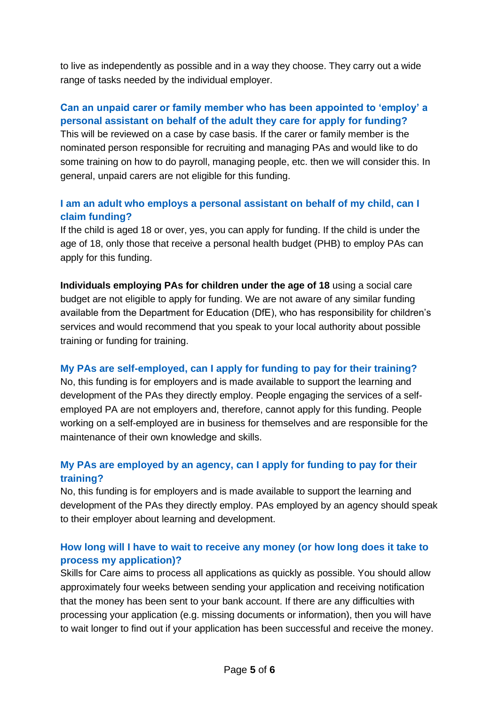to live as independently as possible and in a way they choose. They carry out a wide range of tasks needed by the individual employer.

# **Can an unpaid carer or family member who has been appointed to 'employ' a personal assistant on behalf of the adult they care for apply for funding?**

This will be reviewed on a case by case basis. If the carer or family member is the nominated person responsible for recruiting and managing PAs and would like to do some training on how to do payroll, managing people, etc. then we will consider this. In general, unpaid carers are not eligible for this funding.

## **I am an adult who employs a personal assistant on behalf of my child, can I claim funding?**

If the child is aged 18 or over, yes, you can apply for funding. If the child is under the age of 18, only those that receive a personal health budget (PHB) to employ PAs can apply for this funding.

**Individuals employing PAs for children under the age of 18** using a social care budget are not eligible to apply for funding. We are not aware of any similar funding available from the Department for Education (DfE), who has responsibility for children's services and would recommend that you speak to your local authority about possible training or funding for training.

## **My PAs are self-employed, can I apply for funding to pay for their training?**

No, this funding is for employers and is made available to support the learning and development of the PAs they directly employ. People engaging the services of a selfemployed PA are not employers and, therefore, cannot apply for this funding. People working on a self-employed are in business for themselves and are responsible for the maintenance of their own knowledge and skills.

# **My PAs are employed by an agency, can I apply for funding to pay for their training?**

No, this funding is for employers and is made available to support the learning and development of the PAs they directly employ. PAs employed by an agency should speak to their employer about learning and development.

# **How long will I have to wait to receive any money (or how long does it take to process my application)?**

Skills for Care aims to process all applications as quickly as possible. You should allow approximately four weeks between sending your application and receiving notification that the money has been sent to your bank account. If there are any difficulties with processing your application (e.g. missing documents or information), then you will have to wait longer to find out if your application has been successful and receive the money.